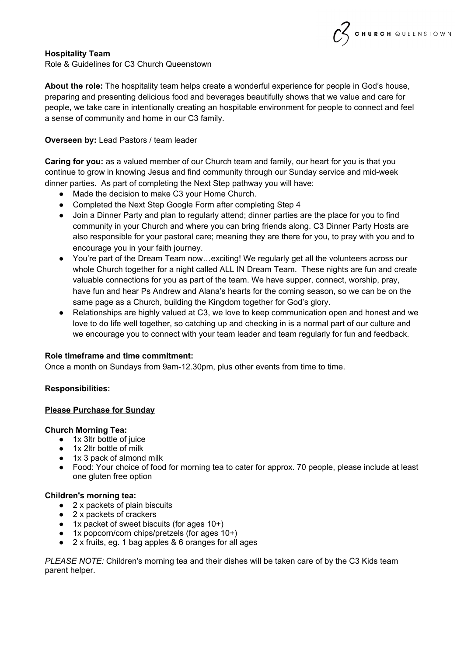# **Hospitality Team**

Role & Guidelines for C3 Church Queenstown

**About the role:** The hospitality team helps create a wonderful experience for people in God's house, preparing and presenting delicious food and beverages beautifully shows that we value and care for people, we take care in intentionally creating an hospitable environment for people to connect and feel a sense of community and home in our C3 family.

CHURCH QUEENSTOWN

## **Overseen by:** Lead Pastors / team leader

**Caring for you:** as a valued member of our Church team and family, our heart for you is that you continue to grow in knowing Jesus and find community through our Sunday service and mid-week dinner parties. As part of completing the Next Step pathway you will have:

- Made the decision to make C3 your Home Church.
- Completed the Next Step Google Form after completing Step 4
- Join a Dinner Party and plan to regularly attend; dinner parties are the place for you to find community in your Church and where you can bring friends along. C3 Dinner Party Hosts are also responsible for your pastoral care; meaning they are there for you, to pray with you and to encourage you in your faith journey.
- You're part of the Dream Team now…exciting! We regularly get all the volunteers across our whole Church together for a night called ALL IN Dream Team. These nights are fun and create valuable connections for you as part of the team. We have supper, connect, worship, pray, have fun and hear Ps Andrew and Alana's hearts for the coming season, so we can be on the same page as a Church, building the Kingdom together for God's glory.
- Relationships are highly valued at C3, we love to keep communication open and honest and we love to do life well together, so catching up and checking in is a normal part of our culture and we encourage you to connect with your team leader and team regularly for fun and feedback.

### **Role timeframe and time commitment:**

Once a month on Sundays from 9am-12.30pm, plus other events from time to time.

**Responsibilities:**

### **Please Purchase for Sunday**

#### **Church Morning Tea:**

- 1x 3ltr bottle of juice
- 1x 2ltr bottle of milk
- 1x 3 pack of almond milk
- Food: Your choice of food for morning tea to cater for approx. 70 people, please include at least one gluten free option

### **Children's morning tea:**

- 2 x packets of plain biscuits
- 2 x packets of crackers
- 1x packet of sweet biscuits (for ages 10+)
- 1x popcorn/corn chips/pretzels (for ages 10+)
- 2 x fruits, eg. 1 bag apples & 6 oranges for all ages

*PLEASE NOTE:* Children's morning tea and their dishes will be taken care of by the C3 Kids team parent helper.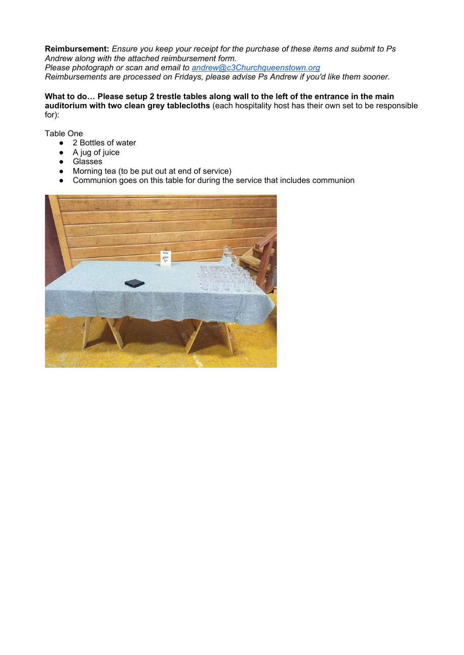**Reimbursement:** *Ensure you keep your receipt for the purchase of these items and submit to Ps Andrew along with the attached reimbursement form. Please photograph or scan and email to [andrew@c3Churchqueenstown.org](mailto:andrew@c3Churchqueenstown.org)*

*Reimbursements are processed on Fridays, please advise Ps Andrew if you'd like them sooner.*

**What to do… Please setup 2 trestle tables along wall to the left of the entrance in the main auditorium with two clean grey tablecloths** (each hospitality host has their own set to be responsible for):

Table One

- 2 Bottles of water
- A jug of juice
- Glasses
- Morning tea (to be put out at end of service)
- Communion goes on this table for during the service that includes communion

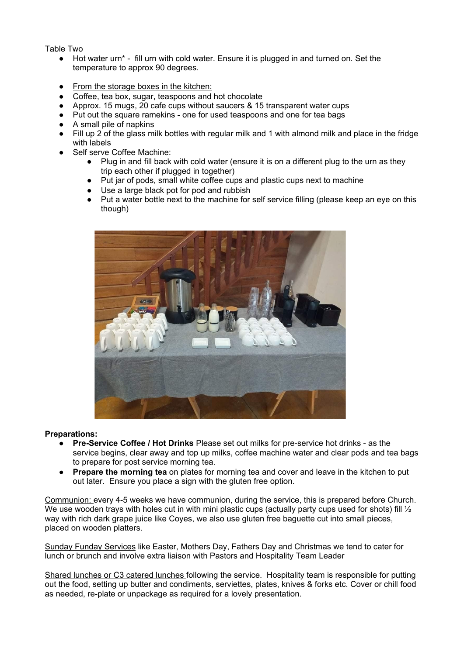Table Two

- Hot water urn<sup>\*</sup> fill urn with cold water. Ensure it is plugged in and turned on. Set the temperature to approx 90 degrees.
- From the storage boxes in the kitchen:
- Coffee, tea box, sugar, teaspoons and hot chocolate
- Approx. 15 mugs, 20 cafe cups without saucers & 15 transparent water cups
- Put out the square ramekins one for used teaspoons and one for tea bags
- A small pile of napkins
- Fill up 2 of the glass milk bottles with regular milk and 1 with almond milk and place in the fridge with labels
- Self serve Coffee Machine:
	- Plug in and fill back with cold water (ensure it is on a different plug to the urn as they trip each other if plugged in together)
	- Put jar of pods, small white coffee cups and plastic cups next to machine
	- Use a large black pot for pod and rubbish
	- Put a water bottle next to the machine for self service filling (please keep an eye on this though)



### **Preparations:**

- **Pre-Service Coffee / Hot Drinks** Please set out milks for pre-service hot drinks as the service begins, clear away and top up milks, coffee machine water and clear pods and tea bags to prepare for post service morning tea.
- **Prepare the morning tea** on plates for morning tea and cover and leave in the kitchen to put out later. Ensure you place a sign with the gluten free option.

Communion: every 4-5 weeks we have communion, during the service, this is prepared before Church. We use wooden trays with holes cut in with mini plastic cups (actually party cups used for shots) fill  $\frac{1}{2}$ way with rich dark grape juice like Coyes, we also use gluten free baguette cut into small pieces, placed on wooden platters.

Sunday Funday Services like Easter, Mothers Day, Fathers Day and Christmas we tend to cater for lunch or brunch and involve extra liaison with Pastors and Hospitality Team Leader

Shared lunches or C3 catered lunches following the service. Hospitality team is responsible for putting out the food, setting up butter and condiments, serviettes, plates, knives & forks etc. Cover or chill food as needed, re-plate or unpackage as required for a lovely presentation.